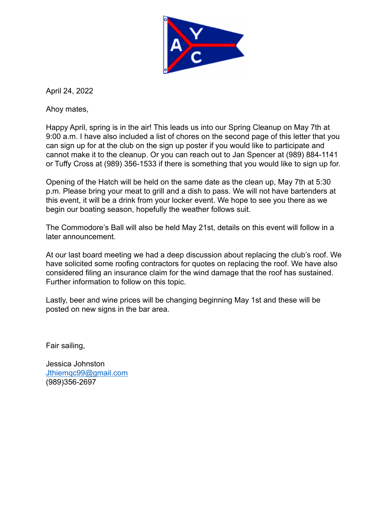

April 24, 2022

Ahoy mates,

Happy April, spring is in the air! This leads us into our Spring Cleanup on May 7th at 9:00 a.m. I have also included a list of chores on the second page of this letter that you can sign up for at the club on the sign up poster if you would like to participate and cannot make it to the cleanup. Or you can reach out to Jan Spencer at (989) 884-1141 or Tuffy Cross at (989) 356-1533 if there is something that you would like to sign up for.

Opening of the Hatch will be held on the same date as the clean up, May 7th at 5:30 p.m. Please bring your meat to grill and a dish to pass. We will not have bartenders at this event, it will be a drink from your locker event. We hope to see you there as we begin our boating season, hopefully the weather follows suit.

The Commodore's Ball will also be held May 21st, details on this event will follow in a later announcement.

At our last board meeting we had a deep discussion about replacing the club's roof. We have solicited some roofing contractors for quotes on replacing the roof. We have also considered filing an insurance claim for the wind damage that the roof has sustained. Further information to follow on this topic.

Lastly, beer and wine prices will be changing beginning May 1st and these will be posted on new signs in the bar area.

Fair sailing,

Jessica Johnston [Jthiemqc99@gmail.com](mailto:Jthiemqc99@gmail.com) (989)356-2697